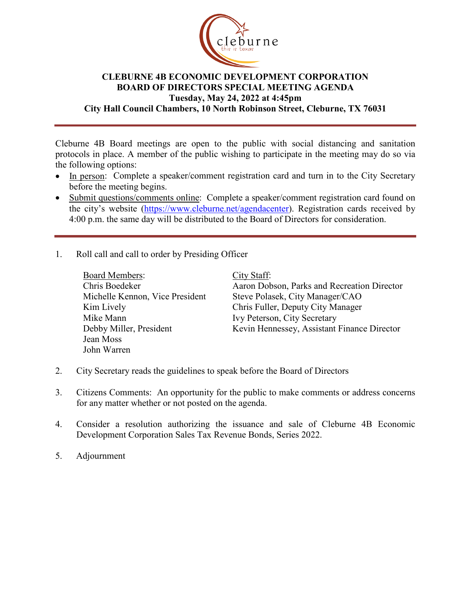

## **CLEBURNE 4B ECONOMIC DEVELOPMENT CORPORATION BOARD OF DIRECTORS SPECIAL MEETING AGENDA Tuesday, May 24, 2022 at 4:45pm City Hall Council Chambers, 10 North Robinson Street, Cleburne, TX 76031**

Cleburne 4B Board meetings are open to the public with social distancing and sanitation protocols in place. A member of the public wishing to participate in the meeting may do so via the following options:

- In person: Complete a speaker/comment registration card and turn in to the City Secretary before the meeting begins.
- Submit questions/comments online: Complete a speaker/comment registration card found on the city's website [\(https://www.cleburne.net/agendacenter\)](https://www.cleburne.net/agendacenter). Registration cards received by 4:00 p.m. the same day will be distributed to the Board of Directors for consideration.
- 1. Roll call and call to order by Presiding Officer

| <b>Board Members:</b>           | City Staff:                                 |
|---------------------------------|---------------------------------------------|
| Chris Boedeker                  | Aaron Dobson, Parks and Recreation Director |
| Michelle Kennon, Vice President | Steve Polasek, City Manager/CAO             |
| Kim Lively                      | Chris Fuller, Deputy City Manager           |
| Mike Mann                       | Ivy Peterson, City Secretary                |
| Debby Miller, President         | Kevin Hennessey, Assistant Finance Director |
| Jean Moss                       |                                             |
| John Warren                     |                                             |

- 2. City Secretary reads the guidelines to speak before the Board of Directors
- 3. Citizens Comments: An opportunity for the public to make comments or address concerns for any matter whether or not posted on the agenda.
- 4. Consider a resolution authorizing the issuance and sale of Cleburne 4B Economic Development Corporation Sales Tax Revenue Bonds, Series 2022.
- 5. Adjournment